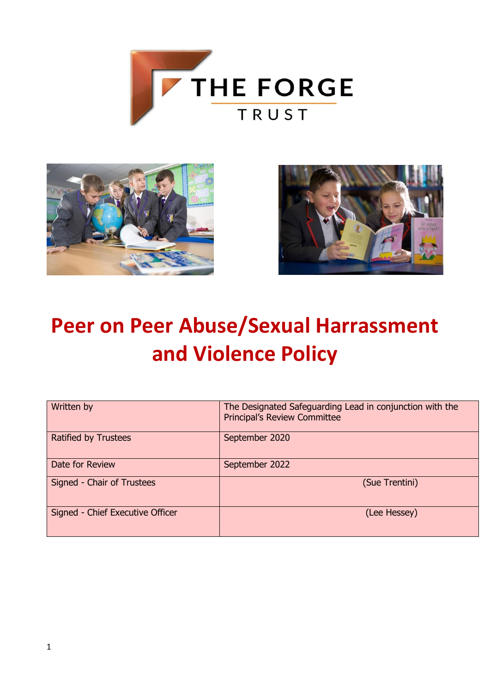





# **Peer on Peer Abuse/Sexual Harrassment and Violence Policy**

| Written by                       | The Designated Safeguarding Lead in conjunction with the<br><b>Principal's Review Committee</b> |  |  |
|----------------------------------|-------------------------------------------------------------------------------------------------|--|--|
| <b>Ratified by Trustees</b>      | September 2020                                                                                  |  |  |
| Date for Review                  | September 2022                                                                                  |  |  |
| Signed - Chair of Trustees       | (Sue Trentini)                                                                                  |  |  |
| Signed - Chief Executive Officer | (Lee Hessey)                                                                                    |  |  |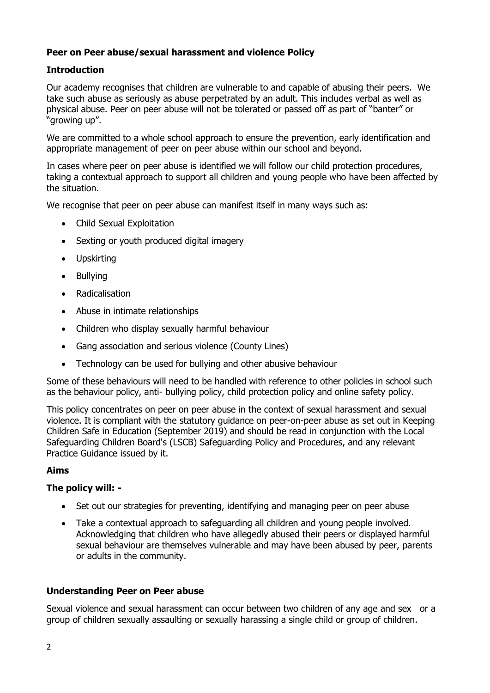# **Peer on Peer abuse/sexual harassment and violence Policy**

# **Introduction**

Our academy recognises that children are vulnerable to and capable of abusing their peers. We take such abuse as seriously as abuse perpetrated by an adult. This includes verbal as well as physical abuse. Peer on peer abuse will not be tolerated or passed off as part of "banter" or "growing up".

We are committed to a whole school approach to ensure the prevention, early identification and appropriate management of peer on peer abuse within our school and beyond.

In cases where peer on peer abuse is identified we will follow our child protection procedures, taking a contextual approach to support all children and young people who have been affected by the situation.

We recognise that peer on peer abuse can manifest itself in many ways such as:

- Child Sexual Exploitation
- Sexting or youth produced digital imagery
- Upskirting
- Bullying
- Radicalisation
- Abuse in intimate relationships
- Children who display sexually harmful behaviour
- Gang association and serious violence (County Lines)
- Technology can be used for bullying and other abusive behaviour

Some of these behaviours will need to be handled with reference to other policies in school such as the behaviour policy, anti- bullying policy, child protection policy and online safety policy.

This policy concentrates on peer on peer abuse in the context of sexual harassment and sexual violence. It is compliant with the statutory guidance on peer-on-peer abuse as set out in Keeping Children Safe in Education (September 2019) and should be read in conjunction with the Local Safeguarding Children Board's (LSCB) Safeguarding Policy and Procedures, and any relevant Practice Guidance issued by it.

### **Aims**

### **The policy will: -**

- Set out our strategies for preventing, identifying and managing peer on peer abuse
- Take a contextual approach to safeguarding all children and young people involved. Acknowledging that children who have allegedly abused their peers or displayed harmful sexual behaviour are themselves vulnerable and may have been abused by peer, parents or adults in the community.

### **Understanding Peer on Peer abuse**

Sexual violence and sexual harassment can occur between two children of any age and sex or a group of children sexually assaulting or sexually harassing a single child or group of children.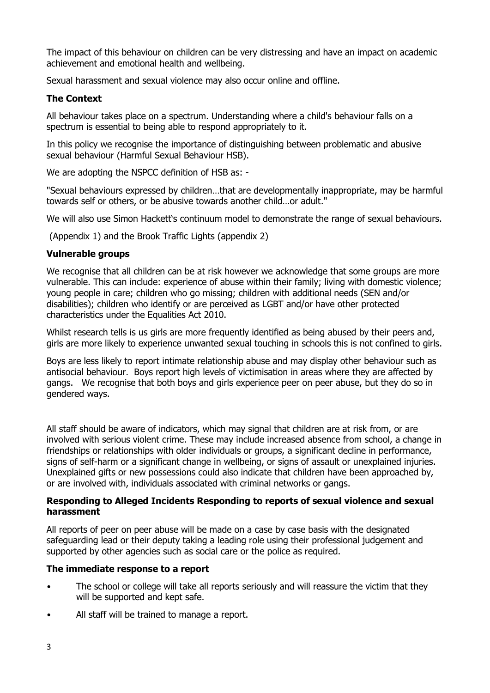The impact of this behaviour on children can be very distressing and have an impact on academic achievement and emotional health and wellbeing.

Sexual harassment and sexual violence may also occur online and offline.

# **The Context**

All behaviour takes place on a spectrum. Understanding where a child's behaviour falls on a spectrum is essential to being able to respond appropriately to it.

In this policy we recognise the importance of distinguishing between problematic and abusive sexual behaviour (Harmful Sexual Behaviour HSB).

We are adopting the NSPCC definition of HSB as: -

"Sexual behaviours expressed by children…that are developmentally inappropriate, may be harmful towards self or others, or be abusive towards another child…or adult."

We will also use Simon Hackett's continuum model to demonstrate the range of sexual behaviours.

(Appendix 1) and the Brook Traffic Lights (appendix 2)

### **Vulnerable groups**

We recognise that all children can be at risk however we acknowledge that some groups are more vulnerable. This can include: experience of abuse within their family; living with domestic violence; young people in care; children who go missing; children with additional needs (SEN and/or disabilities); children who identify or are perceived as LGBT and/or have other protected characteristics under the Equalities Act 2010.

Whilst research tells is us girls are more frequently identified as being abused by their peers and, girls are more likely to experience unwanted sexual touching in schools this is not confined to girls.

Boys are less likely to report intimate relationship abuse and may display other behaviour such as antisocial behaviour. Boys report high levels of victimisation in areas where they are affected by gangs. We recognise that both boys and girls experience peer on peer abuse, but they do so in gendered ways.

All staff should be aware of indicators, which may signal that children are at risk from, or are involved with serious violent crime. These may include increased absence from school, a change in friendships or relationships with older individuals or groups, a significant decline in performance, signs of self-harm or a significant change in wellbeing, or signs of assault or unexplained injuries. Unexplained gifts or new possessions could also indicate that children have been approached by, or are involved with, individuals associated with criminal networks or gangs.

### **Responding to Alleged Incidents Responding to reports of sexual violence and sexual harassment**

All reports of peer on peer abuse will be made on a case by case basis with the designated safeguarding lead or their deputy taking a leading role using their professional judgement and supported by other agencies such as social care or the police as required.

### **The immediate response to a report**

- The school or college will take all reports seriously and will reassure the victim that they will be supported and kept safe.
- All staff will be trained to manage a report.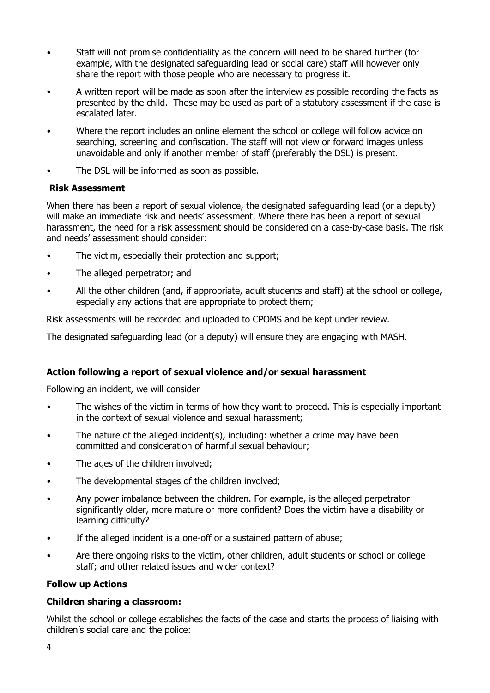- Staff will not promise confidentiality as the concern will need to be shared further (for example, with the designated safeguarding lead or social care) staff will however only share the report with those people who are necessary to progress it.
- A written report will be made as soon after the interview as possible recording the facts as presented by the child. These may be used as part of a statutory assessment if the case is escalated later.
- Where the report includes an online element the school or college will follow advice on searching, screening and confiscation. The staff will not view or forward images unless unavoidable and only if another member of staff (preferably the DSL) is present.
- The DSL will be informed as soon as possible.

### **Risk Assessment**

When there has been a report of sexual violence, the designated safeguarding lead (or a deputy) will make an immediate risk and needs' assessment. Where there has been a report of sexual harassment, the need for a risk assessment should be considered on a case-by-case basis. The risk and needs' assessment should consider:

- The victim, especially their protection and support;
- The alleged perpetrator; and
- All the other children (and, if appropriate, adult students and staff) at the school or college, especially any actions that are appropriate to protect them;

Risk assessments will be recorded and uploaded to CPOMS and be kept under review.

The designated safeguarding lead (or a deputy) will ensure they are engaging with MASH.

# **Action following a report of sexual violence and/or sexual harassment**

Following an incident, we will consider

- The wishes of the victim in terms of how they want to proceed. This is especially important in the context of sexual violence and sexual harassment;
- The nature of the alleged incident(s), including: whether a crime may have been committed and consideration of harmful sexual behaviour;
- The ages of the children involved;
- The developmental stages of the children involved;
- Any power imbalance between the children. For example, is the alleged perpetrator significantly older, more mature or more confident? Does the victim have a disability or learning difficulty?
- If the alleged incident is a one-off or a sustained pattern of abuse;
- Are there ongoing risks to the victim, other children, adult students or school or college staff; and other related issues and wider context?

### **Follow up Actions**

### **Children sharing a classroom:**

Whilst the school or college establishes the facts of the case and starts the process of liaising with children's social care and the police: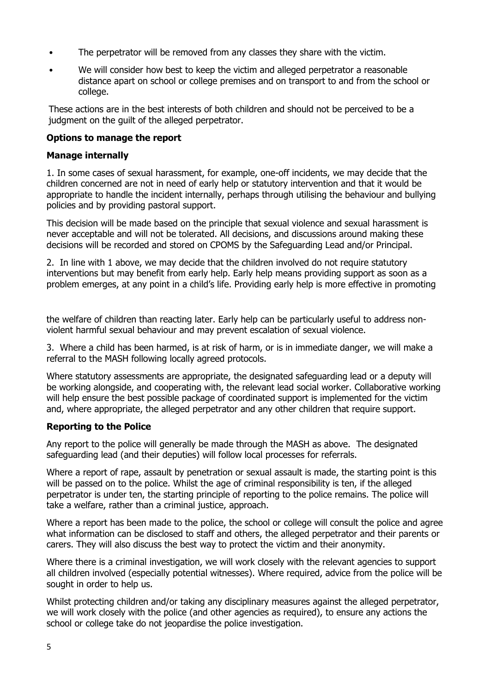- The perpetrator will be removed from any classes they share with the victim.
- We will consider how best to keep the victim and alleged perpetrator a reasonable distance apart on school or college premises and on transport to and from the school or college.

These actions are in the best interests of both children and should not be perceived to be a judgment on the guilt of the alleged perpetrator.

# **Options to manage the report**

### **Manage internally**

1. In some cases of sexual harassment, for example, one-off incidents, we may decide that the children concerned are not in need of early help or statutory intervention and that it would be appropriate to handle the incident internally, perhaps through utilising the behaviour and bullying policies and by providing pastoral support.

This decision will be made based on the principle that sexual violence and sexual harassment is never acceptable and will not be tolerated. All decisions, and discussions around making these decisions will be recorded and stored on CPOMS by the Safeguarding Lead and/or Principal.

2. In line with 1 above, we may decide that the children involved do not require statutory interventions but may benefit from early help. Early help means providing support as soon as a problem emerges, at any point in a child's life. Providing early help is more effective in promoting

the welfare of children than reacting later. Early help can be particularly useful to address nonviolent harmful sexual behaviour and may prevent escalation of sexual violence.

3. Where a child has been harmed, is at risk of harm, or is in immediate danger, we will make a referral to the MASH following locally agreed protocols.

Where statutory assessments are appropriate, the designated safeguarding lead or a deputy will be working alongside, and cooperating with, the relevant lead social worker. Collaborative working will help ensure the best possible package of coordinated support is implemented for the victim and, where appropriate, the alleged perpetrator and any other children that require support.

# **Reporting to the Police**

Any report to the police will generally be made through the MASH as above. The designated safeguarding lead (and their deputies) will follow local processes for referrals.

Where a report of rape, assault by penetration or sexual assault is made, the starting point is this will be passed on to the police. Whilst the age of criminal responsibility is ten, if the alleged perpetrator is under ten, the starting principle of reporting to the police remains. The police will take a welfare, rather than a criminal justice, approach.

Where a report has been made to the police, the school or college will consult the police and agree what information can be disclosed to staff and others, the alleged perpetrator and their parents or carers. They will also discuss the best way to protect the victim and their anonymity.

Where there is a criminal investigation, we will work closely with the relevant agencies to support all children involved (especially potential witnesses). Where required, advice from the police will be sought in order to help us.

Whilst protecting children and/or taking any disciplinary measures against the alleged perpetrator, we will work closely with the police (and other agencies as required), to ensure any actions the school or college take do not jeopardise the police investigation.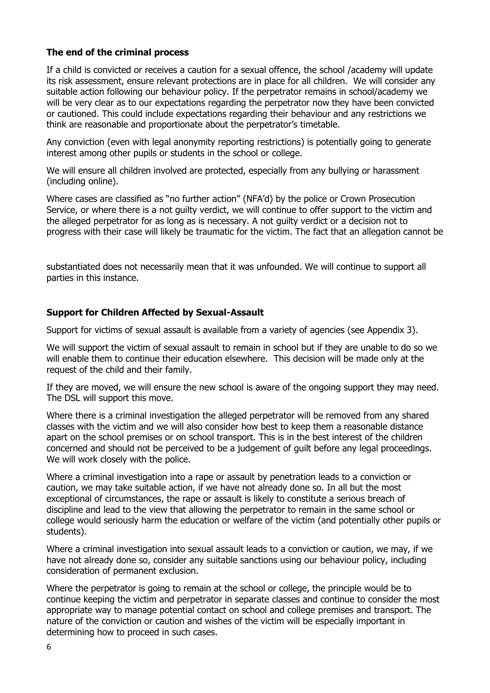# **The end of the criminal process**

If a child is convicted or receives a caution for a sexual offence, the school /academy will update its risk assessment, ensure relevant protections are in place for all children. We will consider any suitable action following our behaviour policy. If the perpetrator remains in school/academy we will be very clear as to our expectations regarding the perpetrator now they have been convicted or cautioned. This could include expectations regarding their behaviour and any restrictions we think are reasonable and proportionate about the perpetrator's timetable.

Any conviction (even with legal anonymity reporting restrictions) is potentially going to generate interest among other pupils or students in the school or college.

We will ensure all children involved are protected, especially from any bullying or harassment (including online).

Where cases are classified as "no further action" (NFA'd) by the police or Crown Prosecution Service, or where there is a not guilty verdict, we will continue to offer support to the victim and the alleged perpetrator for as long as is necessary. A not guilty verdict or a decision not to progress with their case will likely be traumatic for the victim. The fact that an allegation cannot be

substantiated does not necessarily mean that it was unfounded. We will continue to support all parties in this instance.

### **Support for Children Affected by Sexual-Assault**

Support for victims of sexual assault is available from a variety of agencies (see Appendix 3).

We will support the victim of sexual assault to remain in school but if they are unable to do so we will enable them to continue their education elsewhere. This decision will be made only at the request of the child and their family.

If they are moved, we will ensure the new school is aware of the ongoing support they may need. The DSL will support this move.

Where there is a criminal investigation the alleged perpetrator will be removed from any shared classes with the victim and we will also consider how best to keep them a reasonable distance apart on the school premises or on school transport. This is in the best interest of the children concerned and should not be perceived to be a judgement of guilt before any legal proceedings. We will work closely with the police.

Where a criminal investigation into a rape or assault by penetration leads to a conviction or caution, we may take suitable action, if we have not already done so. In all but the most exceptional of circumstances, the rape or assault is likely to constitute a serious breach of discipline and lead to the view that allowing the perpetrator to remain in the same school or college would seriously harm the education or welfare of the victim (and potentially other pupils or students).

Where a criminal investigation into sexual assault leads to a conviction or caution, we may, if we have not already done so, consider any suitable sanctions using our behaviour policy, including consideration of permanent exclusion.

Where the perpetrator is going to remain at the school or college, the principle would be to continue keeping the victim and perpetrator in separate classes and continue to consider the most appropriate way to manage potential contact on school and college premises and transport. The nature of the conviction or caution and wishes of the victim will be especially important in determining how to proceed in such cases.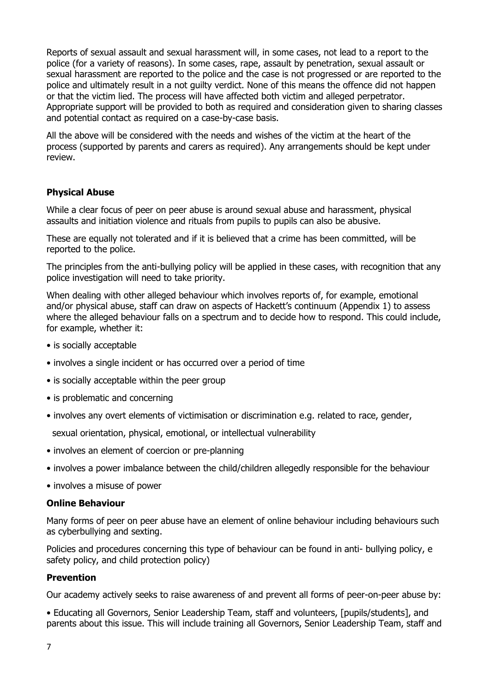Reports of sexual assault and sexual harassment will, in some cases, not lead to a report to the police (for a variety of reasons). In some cases, rape, assault by penetration, sexual assault or sexual harassment are reported to the police and the case is not progressed or are reported to the police and ultimately result in a not guilty verdict. None of this means the offence did not happen or that the victim lied. The process will have affected both victim and alleged perpetrator. Appropriate support will be provided to both as required and consideration given to sharing classes and potential contact as required on a case-by-case basis.

All the above will be considered with the needs and wishes of the victim at the heart of the process (supported by parents and carers as required). Any arrangements should be kept under review.

# **Physical Abuse**

While a clear focus of peer on peer abuse is around sexual abuse and harassment, physical assaults and initiation violence and rituals from pupils to pupils can also be abusive.

These are equally not tolerated and if it is believed that a crime has been committed, will be reported to the police.

The principles from the anti-bullying policy will be applied in these cases, with recognition that any police investigation will need to take priority.

When dealing with other alleged behaviour which involves reports of, for example, emotional and/or physical abuse, staff can draw on aspects of Hackett's continuum (Appendix 1) to assess where the alleged behaviour falls on a spectrum and to decide how to respond. This could include, for example, whether it:

- is socially acceptable
- involves a single incident or has occurred over a period of time
- is socially acceptable within the peer group
- is problematic and concerning
- involves any overt elements of victimisation or discrimination e.g. related to race, gender,

sexual orientation, physical, emotional, or intellectual vulnerability

- involves an element of coercion or pre-planning
- involves a power imbalance between the child/children allegedly responsible for the behaviour
- involves a misuse of power

### **Online Behaviour**

Many forms of peer on peer abuse have an element of online behaviour including behaviours such as cyberbullying and sexting.

Policies and procedures concerning this type of behaviour can be found in anti- bullying policy, e safety policy, and child protection policy)

#### **Prevention**

Our academy actively seeks to raise awareness of and prevent all forms of peer-on-peer abuse by:

• Educating all Governors, Senior Leadership Team, staff and volunteers, [pupils/students], and parents about this issue. This will include training all Governors, Senior Leadership Team, staff and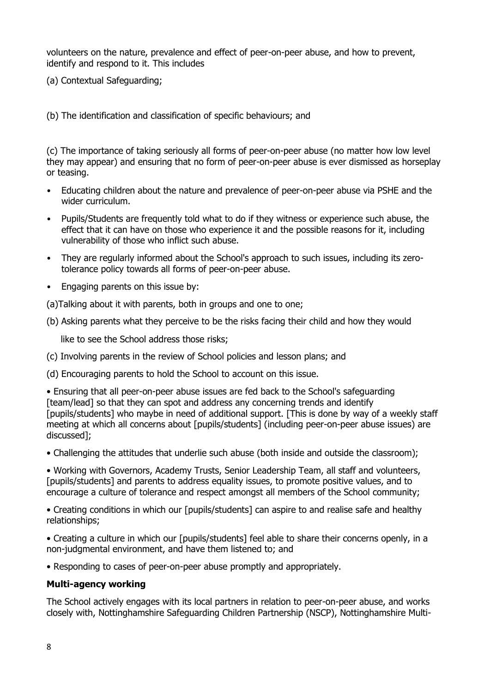volunteers on the nature, prevalence and effect of peer-on-peer abuse, and how to prevent, identify and respond to it. This includes

(a) Contextual Safeguarding;

(b) The identification and classification of specific behaviours; and

(c) The importance of taking seriously all forms of peer-on-peer abuse (no matter how low level they may appear) and ensuring that no form of peer-on-peer abuse is ever dismissed as horseplay or teasing.

- Educating children about the nature and prevalence of peer-on-peer abuse via PSHE and the wider curriculum.
- Pupils/Students are frequently told what to do if they witness or experience such abuse, the effect that it can have on those who experience it and the possible reasons for it, including vulnerability of those who inflict such abuse.
- They are regularly informed about the School's approach to such issues, including its zerotolerance policy towards all forms of peer-on-peer abuse.
- Engaging parents on this issue by:

(a)Talking about it with parents, both in groups and one to one;

(b) Asking parents what they perceive to be the risks facing their child and how they would

like to see the School address those risks;

(c) Involving parents in the review of School policies and lesson plans; and

(d) Encouraging parents to hold the School to account on this issue.

• Ensuring that all peer-on-peer abuse issues are fed back to the School's safeguarding [team/lead] so that they can spot and address any concerning trends and identify [pupils/students] who maybe in need of additional support. [This is done by way of a weekly staff meeting at which all concerns about [pupils/students] (including peer-on-peer abuse issues) are discussed];

• Challenging the attitudes that underlie such abuse (both inside and outside the classroom);

• Working with Governors, Academy Trusts, Senior Leadership Team, all staff and volunteers, [pupils/students] and parents to address equality issues, to promote positive values, and to encourage a culture of tolerance and respect amongst all members of the School community;

• Creating conditions in which our [pupils/students] can aspire to and realise safe and healthy relationships;

• Creating a culture in which our [pupils/students] feel able to share their concerns openly, in a non-judgmental environment, and have them listened to; and

• Responding to cases of peer-on-peer abuse promptly and appropriately.

### **Multi-agency working**

The School actively engages with its local partners in relation to peer-on-peer abuse, and works closely with, Nottinghamshire Safeguarding Children Partnership (NSCP), Nottinghamshire Multi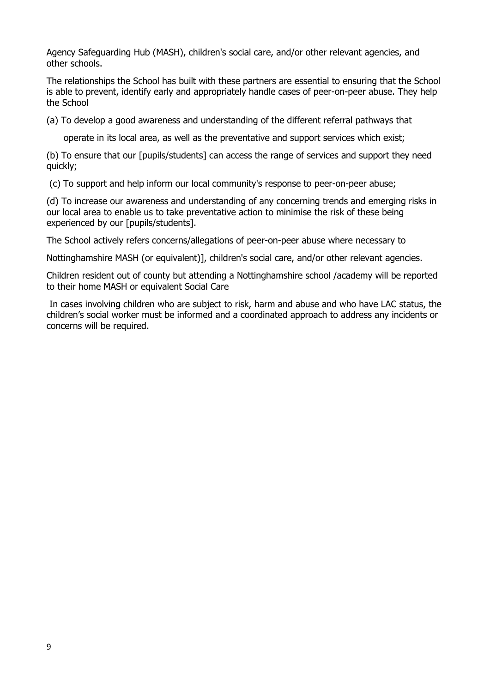Agency Safeguarding Hub (MASH), children's social care, and/or other relevant agencies, and other schools.

The relationships the School has built with these partners are essential to ensuring that the School is able to prevent, identify early and appropriately handle cases of peer-on-peer abuse. They help the School

(a) To develop a good awareness and understanding of the different referral pathways that

operate in its local area, as well as the preventative and support services which exist;

(b) To ensure that our [pupils/students] can access the range of services and support they need quickly;

(c) To support and help inform our local community's response to peer-on-peer abuse;

(d) To increase our awareness and understanding of any concerning trends and emerging risks in our local area to enable us to take preventative action to minimise the risk of these being experienced by our [pupils/students].

The School actively refers concerns/allegations of peer-on-peer abuse where necessary to

Nottinghamshire MASH (or equivalent)], children's social care, and/or other relevant agencies.

Children resident out of county but attending a Nottinghamshire school /academy will be reported to their home MASH or equivalent Social Care

In cases involving children who are subject to risk, harm and abuse and who have LAC status, the children's social worker must be informed and a coordinated approach to address any incidents or concerns will be required.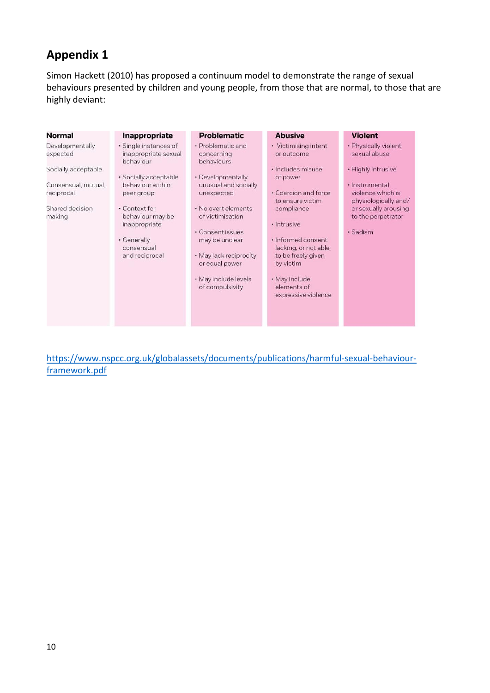# **Appendix 1**

Simon Hackett (2010) has proposed a continuum model to demonstrate the range of sexual behaviours presented by children and young people, from those that are normal, to those that are highly deviant:

| Normal                            | Inappropriate                                              | <b>Problematic</b>                                          | <b>Abusive</b>                                                                | <b>Violent</b>                                              |
|-----------------------------------|------------------------------------------------------------|-------------------------------------------------------------|-------------------------------------------------------------------------------|-------------------------------------------------------------|
| Developmentally<br>expected       | · Single instances of<br>inappropriate sexual<br>behaviour | • Problematic and<br>concerning<br>behaviours               | • Victimising intent<br>or outcome                                            | • Physically violent<br>sexual abuse                        |
| Socially acceptable               |                                                            |                                                             | · Includes misuse                                                             | • Highly intrusive                                          |
| Consensual, mutual,<br>reciprocal | · Socially acceptable<br>behaviour within<br>peer group    | • Developmentally<br>unusual and socially<br>unexpected     | of power<br>• Coercion and force<br>to ensure victim                          | · Instrumental<br>violence which is<br>physiologically and/ |
| Shared decision<br>making         | • Context for<br>behaviour may be<br>inappropriate         | . No overt elements<br>of victimisation<br>· Consent issues | compliance<br>· Intrusive                                                     | or sexually arousing<br>to the perpetrator<br>· Sadism      |
|                                   | • Generally<br>consensual<br>and reciprocal                | may be unclear<br>• May lack reciprocity<br>or equal power  | · Informed consent<br>lacking, or not able<br>to be freely given<br>by victim |                                                             |
|                                   |                                                            | · May include levels<br>of compulsivity                     | • May include<br>elements of<br>expressive violence                           |                                                             |

[https://www.nspcc.org.uk/globalassets/documents/publications/harmful-sexual-behaviour](https://www.nspcc.org.uk/globalassets/documents/publications/harmful-sexual-behaviour-framework.pdf)[framework.pdf](https://www.nspcc.org.uk/globalassets/documents/publications/harmful-sexual-behaviour-framework.pdf)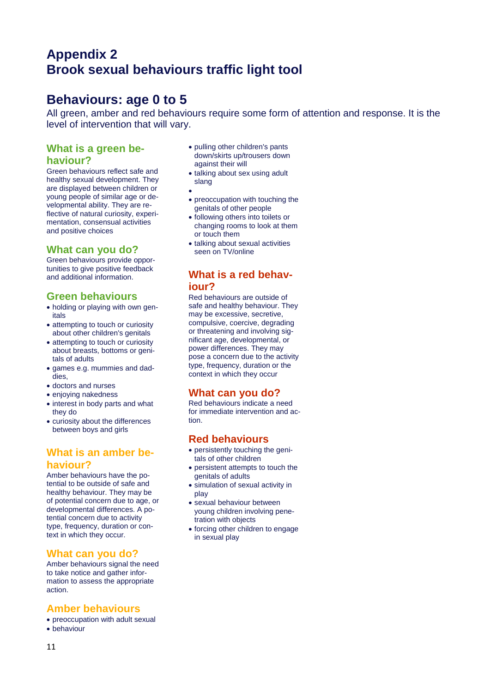# **Appendix 2 Brook sexual behaviours traffic light tool**

# **Behaviours: age 0 to 5**

All green, amber and red behaviours require some form of attention and response. It is the level of intervention that will vary.

# **What is a green behaviour?**

Green behaviours reflect safe and healthy sexual development. They are displayed between children or young people of similar age or developmental ability. They are reflective of natural curiosity, experimentation, consensual activities and positive choices

# **What can you do?**

Green behaviours provide opportunities to give positive feedback and additional information.

# **Green behaviours**

- holding or playing with own genitals
- attempting to touch or curiosity about other children's genitals
- attempting to touch or curiosity about breasts, bottoms or genitals of adults
- games e.g. mummies and daddies,
- doctors and nurses
- enjoying nakedness
- interest in body parts and what they do
- curiosity about the differences between boys and girls

# **What is an amber behaviour?**

Amber behaviours have the potential to be outside of safe and healthy behaviour. They may be of potential concern due to age, or developmental differences. A potential concern due to activity type, frequency, duration or context in which they occur.

### **What can you do?**

Amber behaviours signal the need to take notice and gather information to assess the appropriate action.

### **Amber behaviours**

- preoccupation with adult sexual
- behaviour
- pulling other children's pants down/skirts up/trousers down against their will
- talking about sex using adult slang
- $\bullet$
- preoccupation with touching the genitals of other people
- following others into toilets or changing rooms to look at them or touch them
- talking about sexual activities seen on TV/online

# **What is a red behaviour?**

Red behaviours are outside of safe and healthy behaviour. They may be excessive, secretive, compulsive, coercive, degrading or threatening and involving significant age, developmental, or power differences. They may pose a concern due to the activity type, frequency, duration or the context in which they occur

# **What can you do?**

Red behaviours indicate a need for immediate intervention and action.

# **Red behaviours**

- persistently touching the genitals of other children
- persistent attempts to touch the genitals of adults
- simulation of sexual activity in play
- sexual behaviour between young children involving penetration with objects
- forcing other children to engage in sexual play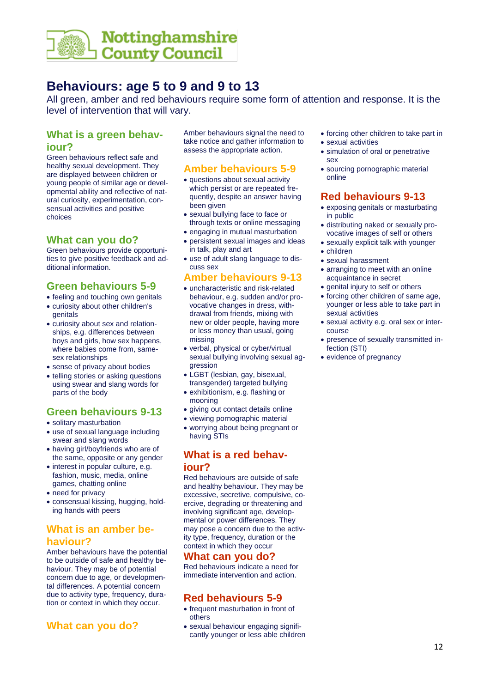

# **Behaviours: age 5 to 9 and 9 to 13**

All green, amber and red behaviours require some form of attention and response. It is the level of intervention that will vary.

### **What is a green behaviour?**

Green behaviours reflect safe and healthy sexual development. They are displayed between children or young people of similar age or developmental ability and reflective of natural curiosity, experimentation, consensual activities and positive choices

#### **What can you do?**

Green behaviours provide opportunities to give positive feedback and additional information.

### **Green behaviours 5-9**

- feeling and touching own genitals
- curiosity about other children's genitals
- curiosity about sex and relationships, e.g. differences between boys and girls, how sex happens, where babies come from, samesex relationships
- sense of privacy about bodies
- telling stories or asking questions using swear and slang words for parts of the body

# **Green behaviours 9-13**

- solitary masturbation
- use of sexual language including swear and slang words
- having girl/boyfriends who are of the same, opposite or any gender
- interest in popular culture, e.g. fashion, music, media, online games, chatting online
- need for privacy
- consensual kissing, hugging, holding hands with peers

# **What is an amber behaviour?**

Amber behaviours have the potential to be outside of safe and healthy behaviour. They may be of potential concern due to age, or developmental differences. A potential concern due to activity type, frequency, duration or context in which they occur.

# **What can you do?**

Amber behaviours signal the need to take notice and gather information to assess the appropriate action.

# **Amber behaviours 5-9**

- questions about sexual activity which persist or are repeated frequently, despite an answer having been given
- sexual bullying face to face or through texts or online messaging
- engaging in mutual masturbation
- persistent sexual images and ideas in talk, play and art
- use of adult slang language to discuss sex

# **Amber behaviours 9-13**

- uncharacteristic and risk-related behaviour, e.g. sudden and/or provocative changes in dress, withdrawal from friends, mixing with new or older people, having more or less money than usual, going missing
- verbal, physical or cyber/virtual sexual bullying involving sexual aggression
- LGBT (lesbian, gay, bisexual, transgender) targeted bullying exhibitionism, e.g. flashing or
- mooning
- giving out contact details online • viewing pornographic material
- worrying about being pregnant or
- having STIs

### **What is a red behaviour?**

Red behaviours are outside of safe and healthy behaviour. They may be excessive, secretive, compulsive, coercive, degrading or threatening and involving significant age, developmental or power differences. They may pose a concern due to the activity type, frequency, duration or the context in which they occur

### **What can you do?**

Red behaviours indicate a need for immediate intervention and action.

# **Red behaviours 5-9**

- frequent masturbation in front of others
- sexual behaviour engaging significantly younger or less able children
- forcing other children to take part in
- sexual activities
- simulation of oral or penetrative sex
- sourcing pornographic material online

# **Red behaviours 9-13**

- exposing genitals or masturbating in public
- distributing naked or sexually provocative images of self or others
- sexually explicit talk with younger
- children
- sexual harassment
- arranging to meet with an online acquaintance in secret
- genital injury to self or others
- forcing other children of same age, younger or less able to take part in sexual activities
- sexual activity e.g. oral sex or intercourse
- presence of sexually transmitted infection (STI)
- evidence of pregnancy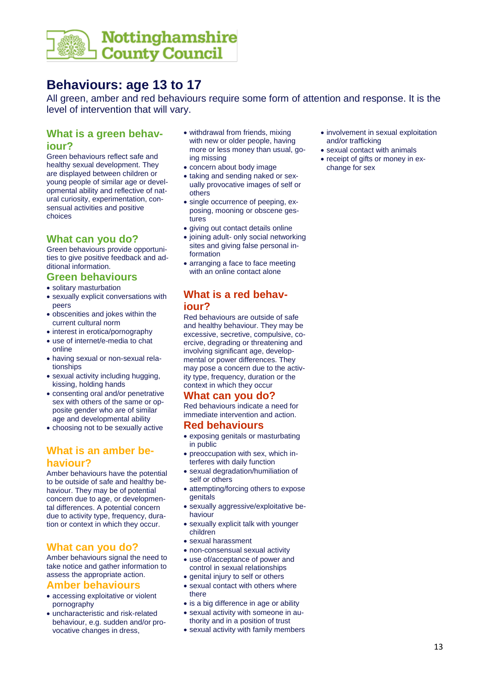

# **Behaviours: age 13 to 17**

All green, amber and red behaviours require some form of attention and response. It is the level of intervention that will vary.

# **What is a green behaviour?**

Green behaviours reflect safe and healthy sexual development. They are displayed between children or young people of similar age or developmental ability and reflective of natural curiosity, experimentation, consensual activities and positive choices

### **What can you do?**

Green behaviours provide opportunities to give positive feedback and additional information.

#### **Green behaviours**

- solitary masturbation
- sexually explicit conversations with peers
- obscenities and jokes within the current cultural norm
- interest in erotica/pornography
- use of internet/e-media to chat online
- having sexual or non-sexual relationships
- sexual activity including hugging, kissing, holding hands
- consenting oral and/or penetrative sex with others of the same or opposite gender who are of similar age and developmental ability
- choosing not to be sexually active

### **What is an amber behaviour?**

Amber behaviours have the potential to be outside of safe and healthy behaviour. They may be of potential concern due to age, or developmental differences. A potential concern due to activity type, frequency, duration or context in which they occur.

# **What can you do?**

Amber behaviours signal the need to take notice and gather information to assess the appropriate action.

#### **Amber behaviours**

- accessing exploitative or violent pornography
- uncharacteristic and risk-related behaviour, e.g. sudden and/or provocative changes in dress,
- withdrawal from friends, mixing with new or older people, having more or less money than usual, going missing
- concern about body image
- taking and sending naked or sexually provocative images of self or others
- single occurrence of peeping, exposing, mooning or obscene gestures
- giving out contact details online
- joining adult- only social networking sites and giving false personal information
- arranging a face to face meeting with an online contact alone

# **What is a red behaviour?**

Red behaviours are outside of safe and healthy behaviour. They may be excessive, secretive, compulsive, coercive, degrading or threatening and involving significant age, developmental or power differences. They may pose a concern due to the activity type, frequency, duration or the context in which they occur

# **What can you do?**

Red behaviours indicate a need for immediate intervention and action.

### **Red behaviours**

- exposing genitals or masturbating in public
- preoccupation with sex, which interferes with daily function
- sexual degradation/humiliation of self or others
- attempting/forcing others to expose genitals
- sexually aggressive/exploitative behaviour
- sexually explicit talk with younger children
- sexual harassment
- non-consensual sexual activity
- use of/acceptance of power and control in sexual relationships
- genital injury to self or others
- sexual contact with others where there
- is a big difference in age or ability sexual activity with someone in au-
- thority and in a position of trust
- sexual activity with family members
- involvement in sexual exploitation and/or trafficking
- sexual contact with animals
- receipt of gifts or money in exchange for sex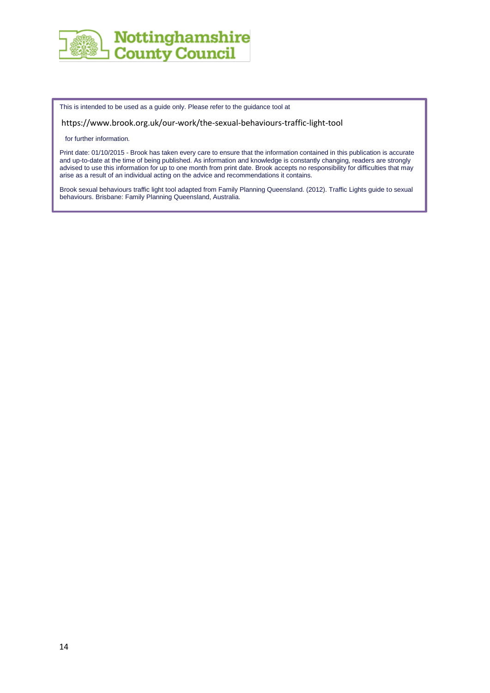

This is intended to be used as a guide only. Please refer to the guidance tool at

<https://www.brook.org.uk/our-work/the-sexual-behaviours-traffic-light-tool>

for further information.

Print date: 01/10/2015 - Brook has taken every care to ensure that the information contained in this publication is accurate and up-to-date at the time of being published. As information and knowledge is constantly changing, readers are strongly advised to use this information for up to one month from print date. Brook accepts no responsibility for difficulties that may arise as a result of an individual acting on the advice and recommendations it contains.

Brook sexual behaviours traffic light tool adapted from Family Planning Queensland. (2012). Traffic Lights guide to sexual behaviours. Brisbane: Family Planning Queensland, Australia.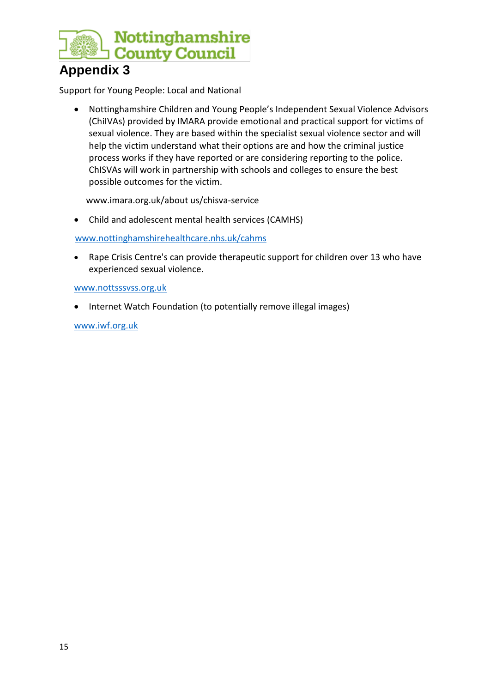

# **Appendix 3**

Support for Young People: Local and National

 Nottinghamshire Children and Young People's Independent Sexual Violence Advisors (ChiIVAs) provided by IMARA provide emotional and practical support for victims of sexual violence. They are based within the specialist sexual violence sector and will help the victim understand what their options are and how the criminal justice process works if they have reported or are considering reporting to the police. ChISVAs will work in partnership with schools and colleges to ensure the best possible outcomes for the victim.

www.imara.org.uk/about us/chisva-service

Child and adolescent mental health services (CAMHS)

[www.nottinghamshirehealthcare.nhs.uk/cahms](http://www.nottinghamshirehealthcare.nhs.uk/cahms)

 Rape Crisis Centre's can provide therapeutic support for children over 13 who have experienced sexual violence.

### [www.nottsssvss.org.uk](http://www.nottsssvss.org.uk/)

• Internet Watch Foundation (to potentially remove illegal images)

[www.iwf.org.uk](http://www.iwf.org.uk/)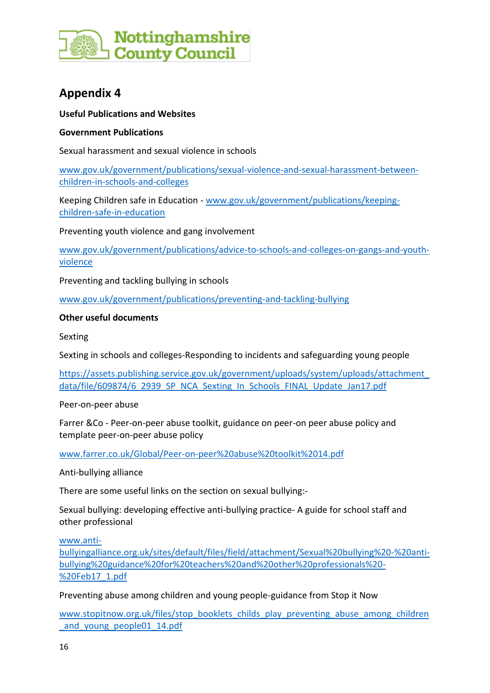

# **Appendix 4**

### **Useful Publications and Websites**

### **Government Publications**

Sexual harassment and sexual violence in schools

[www.gov.uk/government/publications/sexual-violence-and-sexual-harassment-between](http://www.gov.uk/government/publications/sexual-violence-and-sexual-harassment-between-children-in-schools-and-colleges)[children-in-schools-and-colleges](http://www.gov.uk/government/publications/sexual-violence-and-sexual-harassment-between-children-in-schools-and-colleges)

Keeping Children safe in Education - [www.gov.uk/government/publications/keeping](http://www.gov.uk/government/publications/keeping-children-safe-in-education)[children-safe-in-education](http://www.gov.uk/government/publications/keeping-children-safe-in-education)

Preventing youth violence and gang involvement

[www.gov.uk/government/publications/advice-to-schools-and-colleges-on-gangs-and-youth](http://www.gov.uk/government/publications/advice-to-schools-and-colleges-on-gangs-and-youth-violence)[violence](http://www.gov.uk/government/publications/advice-to-schools-and-colleges-on-gangs-and-youth-violence)

Preventing and tackling bullying in schools

[www.gov.uk/government/publications/preventing-and-tackling-bullying](http://www.gov.uk/government/publications/preventing-and-tackling-bullying)

### **Other useful documents**

Sexting

Sexting in schools and colleges-Responding to incidents and safeguarding young people

[https://assets.publishing.service.gov.uk/government/uploads/system/uploads/attachment\\_](https://assets.publishing.service.gov.uk/government/uploads/system/uploads/attachment_data/file/609874/6_2939_SP_NCA_Sexting_In_Schools_FINAL_Update_Jan17.pdf) [data/file/609874/6\\_2939\\_SP\\_NCA\\_Sexting\\_In\\_Schools\\_FINAL\\_Update\\_Jan17.pdf](https://assets.publishing.service.gov.uk/government/uploads/system/uploads/attachment_data/file/609874/6_2939_SP_NCA_Sexting_In_Schools_FINAL_Update_Jan17.pdf)

Peer-on-peer abuse

Farrer &Co - Peer-on-peer abuse toolkit, guidance on peer-on peer abuse policy and template peer-on-peer abuse policy

[www.farrer.co.uk/Global/Peer-on-peer%20abuse%20toolkit%2014.pdf](http://www.farrer.co.uk/Global/Peer-on-peer%20abuse%20toolkit%2014.pdf)

Anti-bullying alliance

There are some useful links on the section on sexual bullying:-

Sexual bullying: developing effective anti-bullying practice- A guide for school staff and other professional

[www.anti-](http://www.anti-bullyingalliance.org.uk/sites/default/files/field/attachment/Sexual%20bullying%20-%20anti-bullying%20guidance%20for%20teachers%20and%20other%20professionals%20-%20Feb17_1.pdf)

[bullyingalliance.org.uk/sites/default/files/field/attachment/Sexual%20bullying%20-%20anti](http://www.anti-bullyingalliance.org.uk/sites/default/files/field/attachment/Sexual%20bullying%20-%20anti-bullying%20guidance%20for%20teachers%20and%20other%20professionals%20-%20Feb17_1.pdf)[bullying%20guidance%20for%20teachers%20and%20other%20professionals%20-](http://www.anti-bullyingalliance.org.uk/sites/default/files/field/attachment/Sexual%20bullying%20-%20anti-bullying%20guidance%20for%20teachers%20and%20other%20professionals%20-%20Feb17_1.pdf) [%20Feb17\\_1.pdf](http://www.anti-bullyingalliance.org.uk/sites/default/files/field/attachment/Sexual%20bullying%20-%20anti-bullying%20guidance%20for%20teachers%20and%20other%20professionals%20-%20Feb17_1.pdf)

Preventing abuse among children and young people-guidance from Stop it Now

[www.stopitnow.org.uk/files/stop\\_booklets\\_childs\\_play\\_preventing\\_abuse\\_among\\_children](http://www.stopitnow.org.uk/files/stop_booklets_childs_play_preventing_abuse_among_children_and_young_people01_14.pdf) and young people01 14.pdf